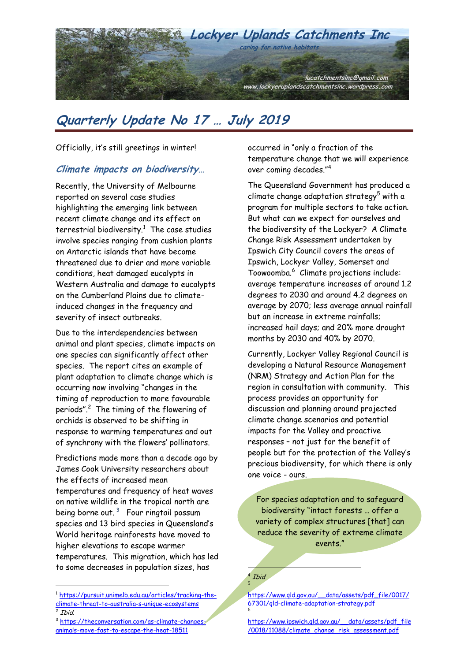

Officially, it's still greetings in winter!

#### **Climate impacts on biodiversity…**

Recently, the University of Melbourne reported on several case studies highlighting the emerging link between recent climate change and its effect on terrestrial biodiversity. $^1$  The case studies involve species ranging from cushion plants on Antarctic islands that have become threatened due to drier and more variable conditions, heat damaged eucalypts in Western Australia and damage to eucalypts on the Cumberland Plains due to climateinduced changes in the frequency and severity of insect outbreaks.

Due to the interdependencies between animal and plant species, climate impacts on one species can significantly affect other species. The report cites an example of plant adaptation to climate change which is occurring now involving "changes in the timing of reproduction to more favourable periods". $2$  The timing of the flowering of orchids is observed to be shifting in response to warming temperatures and out of synchrony with the flowers' pollinators.

Predictions made more than a decade ago by James Cook University researchers about the effects of increased mean temperatures and frequency of heat waves on native wildlife in the tropical north are being borne out.  $^3$  Four ringtail possum species and 13 bird species in Queensland's World heritage rainforests have moved to higher elevations to escape warmer temperatures. This migration, which has led to some decreases in population sizes, has

 $\overline{a}$ 

occurred in "only a fraction of the temperature change that we will experience over coming decades."<sup>4</sup>

The Queensland Government has produced a climate change adaptation strategy<sup>5</sup> with a program for multiple sectors to take action. But what can we expect for ourselves and the biodiversity of the Lockyer? A Climate Change Risk Assessment undertaken by Ipswich City Council covers the areas of Ipswich, Lockyer Valley, Somerset and Toowoomba.<sup>6</sup> Climate projections include: average temperature increases of around 1.2 degrees to 2030 and around 4.2 degrees on average by 2070; less average annual rainfall but an increase in extreme rainfalls; increased hail days; and 20% more drought months by 2030 and 40% by 2070.

Currently, Lockyer Valley Regional Council is developing a Natural Resource Management (NRM) Strategy and Action Plan for the region in consultation with community. This process provides an opportunity for discussion and planning around projected climate change scenarios and potential impacts for the Valley and proactive responses – not just for the benefit of people but for the protection of the Valley's precious biodiversity, for which there is only one voice - ours.

For species adaptation and to safeguard biodiversity "intact forests … offer a variety of complex structures [that] can reduce the severity of extreme climate events."

4 Ibid 5

1

[https://www.qld.gov.au/\\_\\_data/assets/pdf\\_file/0017/](https://www.qld.gov.au/__data/assets/pdf_file/0017/67301/qld-climate-adaptation-strategy.pdf) [67301/qld-climate-adaptation-strategy.pdf](https://www.qld.gov.au/__data/assets/pdf_file/0017/67301/qld-climate-adaptation-strategy.pdf) 6

[https://www.ipswich.qld.gov.au/\\_\\_data/assets/pdf\\_file](https://www.ipswich.qld.gov.au/__data/assets/pdf_file/0018/11088/climate_change_risk_assessment.pdf) [/0018/11088/climate\\_change\\_risk\\_assessment.pdf](https://www.ipswich.qld.gov.au/__data/assets/pdf_file/0018/11088/climate_change_risk_assessment.pdf)

<sup>1</sup> [https://pursuit.unimelb.edu.au/articles/tracking-the](https://pursuit.unimelb.edu.au/articles/tracking-the-climate-threat-to-australia-s-unique-ecosystems)<u>[climate-threat-to-australia-s-unique-ecosystems](https://pursuit.unimelb.edu.au/articles/tracking-the-climate-threat-to-australia-s-unique-ecosystems)</u><br><sup>2</sup> Ibid.

<sup>&</sup>lt;sup>3</sup> https://theconversation.com/as-climate-changes [animals-move-fast-to-escape-the-heat-18511](https://theconversation.com/as-climate-changes-animals-move-fast-to-escape-the-heat-18511)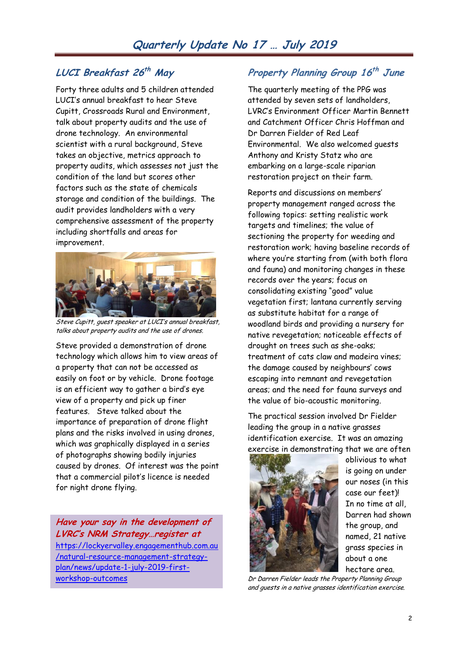## **LUCI Breakfast 26 th May**

Forty three adults and 5 children attended LUCI's annual breakfast to hear Steve Cupitt, Crossroads Rural and Environment, talk about property audits and the use of drone technology. An environmental scientist with a rural background, Steve takes an objective, metrics approach to property audits, which assesses not just the condition of the land but scores other factors such as the state of chemicals storage and condition of the buildings. The audit provides landholders with a very comprehensive assessment of the property including shortfalls and areas for improvement.



Steve Cupitt, guest speaker at LUCI's annual breakfast, talks about property audits and the use of drones.

Steve provided a demonstration of drone technology which allows him to view areas of a property that can not be accessed as easily on foot or by vehicle. Drone footage is an efficient way to gather a bird's eye view of a property and pick up finer features. Steve talked about the importance of preparation of drone flight plans and the risks involved in using drones, which was graphically displayed in a series of photographs showing bodily injuries caused by drones. Of interest was the point that a commercial pilot's licence is needed for night drone flying.

**Have your say in the development of LVRC's NRM Strategy…register at** [https://lockyervalley.engagementhub.com.au](https://lockyervalley.engagementhub.com.au/natural-resource-management-strategy-plan/news/update-1-july-2019-first-workshop-outcomes) [/natural-resource-management-strategy](https://lockyervalley.engagementhub.com.au/natural-resource-management-strategy-plan/news/update-1-july-2019-first-workshop-outcomes)[plan/news/update-1-july-2019-first](https://lockyervalley.engagementhub.com.au/natural-resource-management-strategy-plan/news/update-1-july-2019-first-workshop-outcomes)[workshop-outcomes](https://lockyervalley.engagementhub.com.au/natural-resource-management-strategy-plan/news/update-1-july-2019-first-workshop-outcomes)

## **Property Planning Group 16 th June**

The quarterly meeting of the PPG was attended by seven sets of landholders, LVRC's Environment Officer Martin Bennett and Catchment Officer Chris Hoffman and Dr Darren Fielder of Red Leaf Environmental. We also welcomed guests Anthony and Kristy Statz who are embarking on a large-scale riparian restoration project on their farm.

Reports and discussions on members' property management ranged across the following topics: setting realistic work targets and timelines; the value of sectioning the property for weeding and restoration work; having baseline records of where you're starting from (with both flora and fauna) and monitoring changes in these records over the years; focus on consolidating existing "good" value vegetation first; lantana currently serving as substitute habitat for a range of woodland birds and providing a nursery for native revegetation; noticeable effects of drought on trees such as she-oaks; treatment of cats claw and madeira vines; the damage caused by neighbours' cows escaping into remnant and revegetation areas; and the need for fauna surveys and the value of bio-acoustic monitoring.

The practical session involved Dr Fielder leading the group in a native grasses identification exercise. It was an amazing exercise in demonstrating that we are often



oblivious to what is going on under our noses (in this case our feet)! In no time at all, Darren had shown the group, and named, 21 native grass species in about a one hectare area.

Dr Darren Fielder leads the Property Planning Group and guests in a native grasses identification exercise.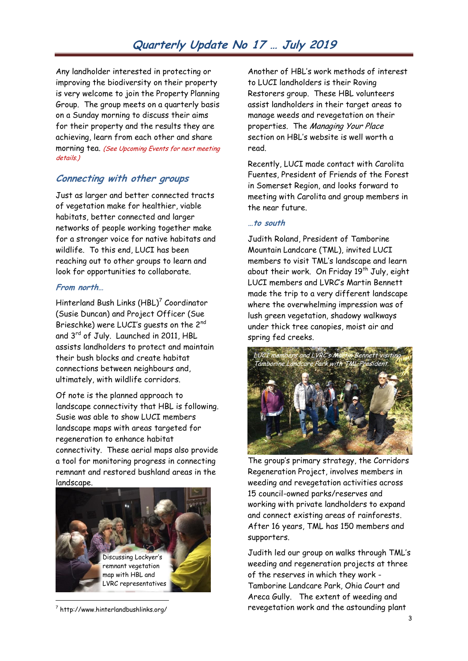Any landholder interested in protecting or improving the biodiversity on their property is very welcome to join the Property Planning Group. The group meets on a quarterly basis on a Sunday morning to discuss their aims for their property and the results they are achieving, learn from each other and share morning tea. (See Upcoming Events for next meeting details.)

#### **Connecting with other groups**

Just as larger and better connected tracts of vegetation make for healthier, viable habitats, better connected and larger networks of people working together make for a stronger voice for native habitats and wildlife. To this end, LUCI has been reaching out to other groups to learn and look for opportunities to collaborate.

#### **From north…**

Hinterland Bush Links  $(\mathsf{HBL})^7$  Coordinator (Susie Duncan) and Project Officer (Sue Brieschke) were LUCI's guests on the 2nd and 3<sup>rd</sup> of July. Launched in 2011, HBL assists landholders to protect and maintain their bush blocks and create habitat connections between neighbours and, ultimately, with wildlife corridors.

Of note is the planned approach to landscape connectivity that HBL is following. Susie was able to show LUCI members landscape maps with areas targeted for regeneration to enhance habitat connectivity. These aerial maps also provide a tool for monitoring progress in connecting remnant and restored bushland areas in the landscape.



<sup>7</sup> http://www.hinterlandbushlinks.org/

Another of HBL's work methods of interest to LUCI landholders is their Roving Restorers group. These HBL volunteers assist landholders in their target areas to manage weeds and revegetation on their properties. The Managing Your Place section on HBL's website is well worth a read.

Recently, LUCI made contact with Carolita Fuentes, President of Friends of the Forest in Somerset Region, and looks forward to meeting with Carolita and group members in the near future.

#### **…to south**

Judith Roland, President of Tamborine Mountain Landcare (TML), invited LUCI members to visit TML's landscape and learn about their work. On Friday  $19^{th}$  July, eight LUCI members and LVRC's Martin Bennett made the trip to a very different landscape where the overwhelming impression was of lush green vegetation, shadowy walkways under thick tree canopies, moist air and spring fed creeks.



The group's primary strategy, the Corridors Regeneration Project, involves members in weeding and revegetation activities across 15 council-owned parks/reserves and working with private landholders to expand and connect existing areas of rainforests. After 16 years, TML has 150 members and supporters.

Judith led our group on walks through TML's weeding and regeneration projects at three of the reserves in which they work - Tamborine Landcare Park, Ohia Court and Areca Gully. The extent of weeding and revegetation work and the astounding plant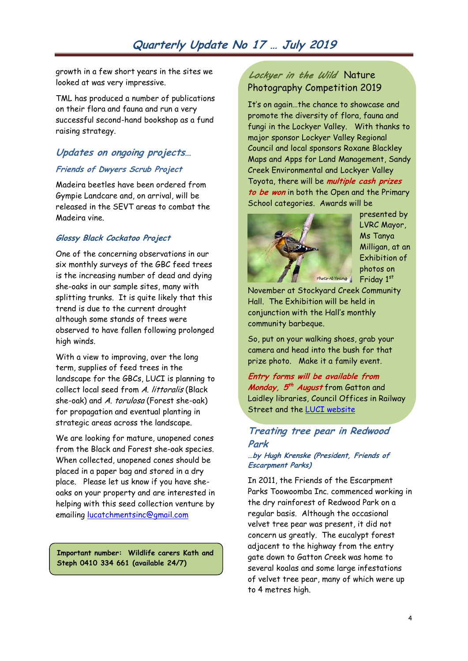growth in a few short years in the sites we looked at was very impressive.

TML has produced a number of publications on their flora and fauna and run a very successful second-hand bookshop as a fund raising strategy.

## **Updates on ongoing projects… Friends of Dwyers Scrub Project**

Madeira beetles have been ordered from Gympie Landcare and, on arrival, will be released in the SEVT areas to combat the Madeira vine.

#### **Glossy Black Cockatoo Project**

One of the concerning observations in our six monthly surveys of the GBC feed trees is the increasing number of dead and dying she-oaks in our sample sites, many with splitting trunks. It is quite likely that this trend is due to the current drought although some stands of trees were observed to have fallen following prolonged high winds.

With a view to improving, over the long term, supplies of feed trees in the landscape for the GBCs, LUCI is planning to collect local seed from A. littoralis (Black she-oak) and A. torulosa (Forest she-oak) for propagation and eventual planting in strategic areas across the landscape.

We are looking for mature, unopened cones from the Black and Forest she-oak species. When collected, unopened cones should be placed in a paper bag and stored in a dry place. Please let us know if you have sheoaks on your property and are interested in helping with this seed collection venture by emailing [lucatchmentsinc@gmail.com](mailto:lucatchmentsinc@gmail.com)

**Important number: Wildlife carers Kath and Steph 0410 334 661 (available 24/7)**

### *Lockyer in the Wild*Nature Photography Competition 2019

It's on again…the chance to showcase and promote the diversity of flora, fauna and fungi in the Lockyer Valley. With thanks to major sponsor Lockyer Valley Regional Council and local sponsors Roxane Blackley Maps and Apps for Land Management, Sandy Creek Environmental and Lockyer Valley Toyota, there will be **multiple cash prizes to be won** in both the Open and the Primary School categories. Awards will be



presented by LVRC Mayor, Ms Tanya Milligan, at an Exhibition of photos on Friday 1st

November at Stockyard Creek Community Hall. The Exhibition will be held in conjunction with the Hall's monthly community barbeque.

So, put on your walking shoes, grab your camera and head into the bush for that prize photo. Make it a family event.

**Entry forms will be available from Monday, 5 th August** from Gatton and Laidley libraries, Council Offices in Railway Street and the [LUCI website](https://lockyeruplandscatchmentsinc.wordpress.com/) 

#### **Treating tree pear in Redwood Park**

#### **…by Hugh Krenske (President, Friends of Escarpment Parks)**

In 2011, the Friends of the Escarpment Parks Toowoomba Inc. commenced working in the dry rainforest of Redwood Park on a regular basis. Although the occasional velvet tree pear was present, it did not concern us greatly. The eucalypt forest adjacent to the highway from the entry gate down to Gatton Creek was home to several koalas and some large infestations of velvet tree pear, many of which were up to 4 metres high.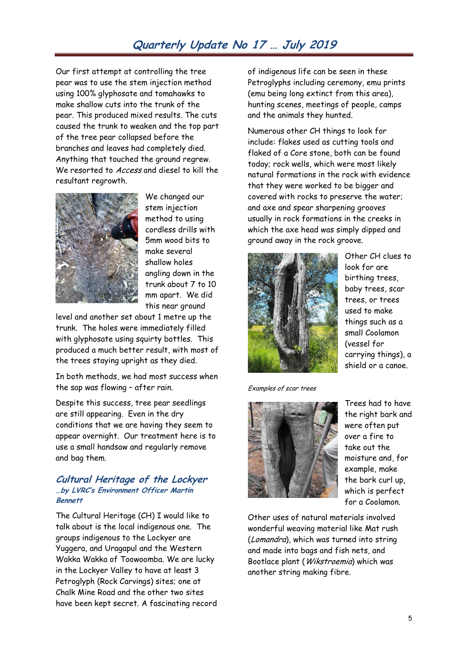Our first attempt at controlling the tree pear was to use the stem injection method using 100% glyphosate and tomahawks to make shallow cuts into the trunk of the pear. This produced mixed results. The cuts caused the trunk to weaken and the top part of the tree pear collapsed before the branches and leaves had completely died. Anything that touched the ground regrew. We resorted to Access and diesel to kill the resultant regrowth.



We changed our stem injection method to using cordless drills with 5mm wood bits to make several shallow holes angling down in the trunk about 7 to 10 mm apart. We did this near ground

level and another set about 1 metre up the trunk. The holes were immediately filled with glyphosate using squirty bottles. This produced a much better result, with most of the trees staying upright as they died.

In both methods, we had most success when the sap was flowing – after rain.

Despite this success, tree pear seedlings are still appearing. Even in the dry conditions that we are having they seem to appear overnight. Our treatment here is to use a small handsaw and regularly remove and bag them.

#### **Cultural Heritage of the Lockyer …by LVRC's Environment Officer Martin Bennett**

The Cultural Heritage (CH) I would like to talk about is the local indigenous one. The groups indigenous to the Lockyer are Yuggera, and Uragapul and the Western Wakka Wakka of Toowoomba. We are lucky in the Lockyer Valley to have at least 3 Petroglyph (Rock Carvings) sites; one at Chalk Mine Road and the other two sites have been kept secret. A fascinating record of indigenous life can be seen in these Petroglyphs including ceremony, emu prints (emu being long extinct from this area), hunting scenes, meetings of people, camps and the animals they hunted.

Numerous other CH things to look for include: flakes used as cutting tools and flaked of a Core stone, both can be found today; rock wells, which were most likely natural formations in the rock with evidence that they were worked to be bigger and covered with rocks to preserve the water; and axe and spear sharpening grooves usually in rock formations in the creeks in which the axe head was simply dipped and ground away in the rock groove.



Other CH clues to look for are birthing trees, baby trees, scar trees, or trees used to make things such as a small Coolamon (vessel for carrying things), a shield or a canoe.

Examples of scar trees



Trees had to have the right bark and were often put over a fire to take out the moisture and, for example, make the bark curl up, which is perfect for a Coolamon.

Other uses of natural materials involved wonderful weaving material like Mat rush (Lomandra), which was turned into string and made into bags and fish nets, and Bootlace plant (Wikstroemia) which was another string making fibre.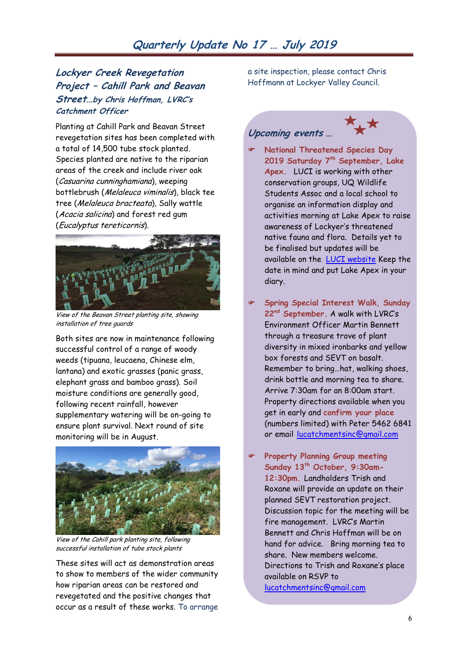### **Lockyer Creek Revegetation Project – Cahill Park and Beavan Street…by Chris Hoffman, LVRC's Catchment Officer**

Planting at Cahill Park and Beavan Street revegetation sites has been completed with a total of 14,500 tube stock planted. Species planted are native to the riparian areas of the creek and include river oak (Casuarina cunninghamiana), weeping bottlebrush (Melaleuca viminalis), black tee tree (Melaleuca bracteata), Sally wattle (Acacia salicina) and forest red gum (Eucalyptus tereticornis).



View of the Beavan Street planting site, showing installation of tree guards

Both sites are now in maintenance following successful control of a range of woody weeds (tipuana, leucaena, Chinese elm, lantana) and exotic grasses (panic grass, elephant grass and bamboo grass). Soil moisture conditions are generally good, following recent rainfall, however supplementary watering will be on-going to ensure plant survival. Next round of site monitoring will be in August.



View of the Cahill park planting site, following successful installation of tube stock plants

These sites will act as demonstration areas to show to members of the wider community how riparian areas can be restored and revegetated and the positive changes that occur as a result of these works. To arrange

a site inspection, please contact Chris Hoffmann at Lockyer Valley Council.

## **Upcoming events …**



- **National Threatened Species Day Saturday 7th 2019 September, Lake Apex.** LUCI is working with other conservation groups, UQ Wildlife Students Assoc and a local school to organise an information display and activities morning at Lake Apex to raise awareness of Lockyer's threatened native fauna and flora. Details yet to be finalised but updates will be available on the [LUCI website](https://lockyeruplandscatchmentsinc.wordpress.com/) Keep the date in mind and put Lake Apex in your diary.
- **Spring Special Interest Walk, Sunday 22nd September.** A walk with LVRC's Environment Officer Martin Bennett through a treasure trove of plant diversity in mixed ironbarks and yellow box forests and SEVT on basalt. Remember to bring…hat, walking shoes, drink bottle and morning tea to share. Arrive 7:30am for an 8:00am start. Property directions available when you get in early and **confirm your place** (numbers limited) with Peter 5462 6841 or email [lucatchmentsinc@gmail.com](mailto:lucatchmentsinc@gmail.com)
- **Property Planning Group meeting Sunday 13th October, 9:30am-12:30pm.** Landholders Trish and Roxane will provide an update on their planned SEVT restoration project. Discussion topic for the meeting will be fire management. LVRC's Martin Bennett and Chris Hoffman will be on hand for advice. Bring morning tea to share. New members welcome. Directions to Trish and Roxane's place available on RSVP to [lucatchmentsinc@gmail.com](mailto:lucatchmentsinc@gmail.com)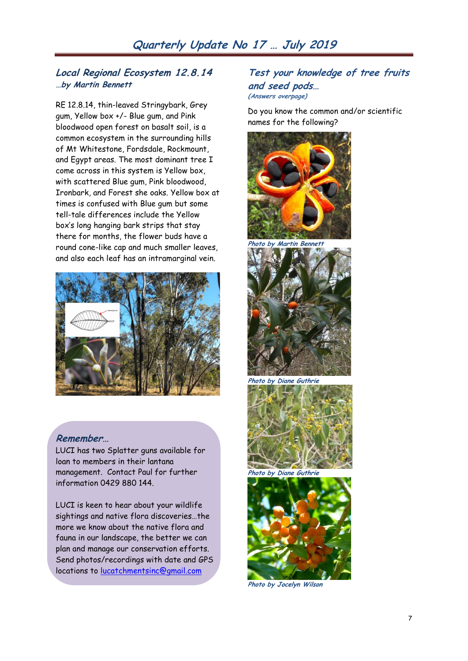#### **Local Regional Ecosystem 12.8.14 …by Martin Bennett**

RE 12.8.14, thin-leaved Stringybark, Grey gum, Yellow box +/- Blue gum, and Pink bloodwood open forest on basalt soil, is a common ecosystem in the surrounding hills of Mt Whitestone, Fordsdale, Rockmount, and Egypt areas. The most dominant tree I come across in this system is Yellow box, with scattered Blue gum, Pink bloodwood, Ironbark, and Forest she oaks. Yellow box at times is confused with Blue gum but some tell-tale differences include the Yellow box's long hanging bark strips that stay there for months, the flower buds have a round cone-like cap and much smaller leaves, and also each leaf has an intramarginal vein.



#### **Remember…**

LUCI has two Splatter guns available for loan to members in their lantana management. Contact Paul for further information 0429 880 144.

LUCI is keen to hear about your wildlife sightings and native flora discoveries…the more we know about the native flora and fauna in our landscape, the better we can plan and manage our conservation efforts. Send photos/recordings with date and GPS locations to [lucatchmentsinc@gmail.com](mailto:lucatchmentsinc@gmail.com)

#### **Test your knowledge of tree fruits and seed pods… (Answers overpage)**

Do you know the common and/or scientific names for the following?



**Photo by Martin Bennett**



**Photo by Diane Guthrie**





**Photo by Jocelyn Wilson**